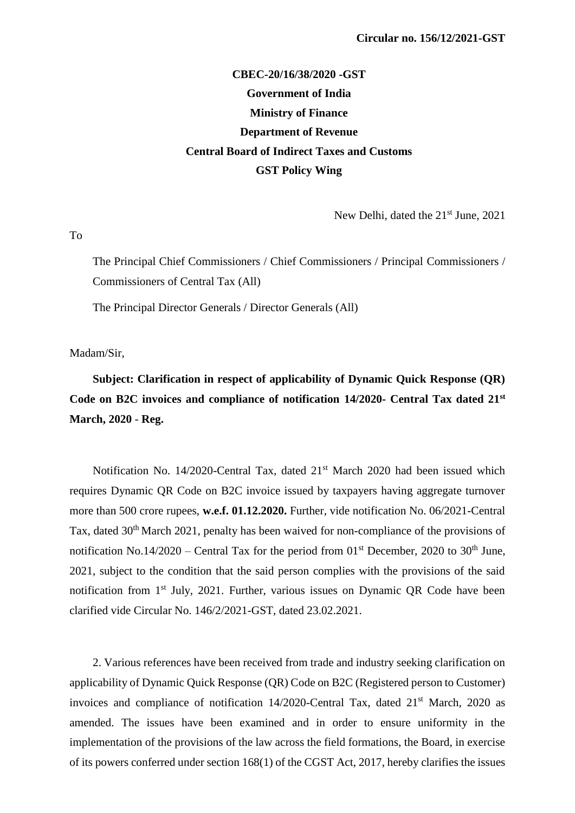## **CBEC-20/16/38/2020 -GST Government of India Ministry of Finance Department of Revenue Central Board of Indirect Taxes and Customs GST Policy Wing**

New Delhi, dated the 21<sup>st</sup> June, 2021

To

The Principal Chief Commissioners / Chief Commissioners / Principal Commissioners / Commissioners of Central Tax (All)

The Principal Director Generals / Director Generals (All)

Madam/Sir,

**Subject: Clarification in respect of applicability of Dynamic Quick Response (QR) Code on B2C invoices and compliance of notification 14/2020- Central Tax dated 21st March, 2020** - **Reg.**

Notification No. 14/2020-Central Tax, dated 21<sup>st</sup> March 2020 had been issued which requires Dynamic QR Code on B2C invoice issued by taxpayers having aggregate turnover more than 500 crore rupees, **w.e.f. 01.12.2020.** Further, vide notification No. 06/2021-Central Tax, dated 30th March 2021, penalty has been waived for non-compliance of the provisions of notification No.14/2020 – Central Tax for the period from  $01<sup>st</sup>$  December, 2020 to 30<sup>th</sup> June, 2021, subject to the condition that the said person complies with the provisions of the said notification from 1<sup>st</sup> July, 2021. Further, various issues on Dynamic OR Code have been clarified vide Circular No. 146/2/2021-GST, dated 23.02.2021.

2. Various references have been received from trade and industry seeking clarification on applicability of Dynamic Quick Response (QR) Code on B2C (Registered person to Customer) invoices and compliance of notification 14/2020-Central Tax, dated 21<sup>st</sup> March, 2020 as amended. The issues have been examined and in order to ensure uniformity in the implementation of the provisions of the law across the field formations, the Board, in exercise of its powers conferred under section 168(1) of the CGST Act, 2017, hereby clarifies the issues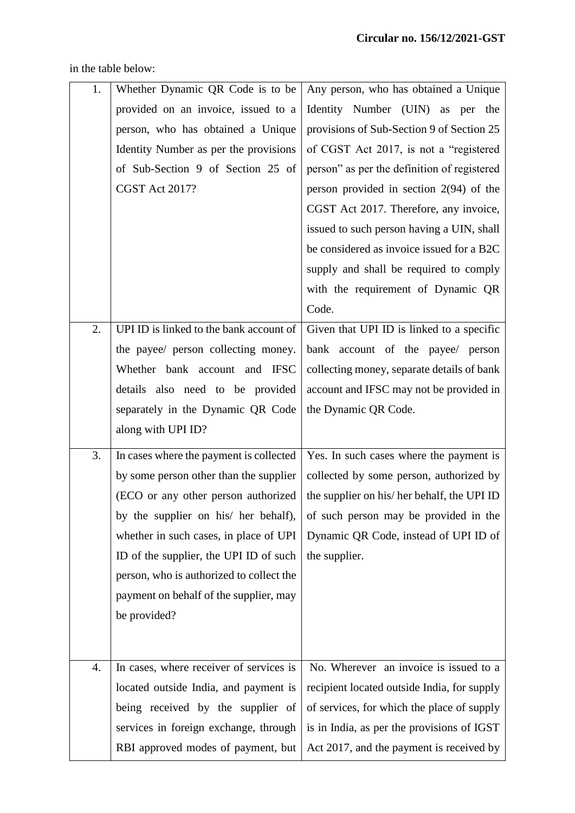| 1. | Whether Dynamic QR Code is to be         | Any person, who has obtained a Unique       |
|----|------------------------------------------|---------------------------------------------|
|    | provided on an invoice, issued to a      | Identity Number (UIN) as per the            |
|    | person, who has obtained a Unique        | provisions of Sub-Section 9 of Section 25   |
|    | Identity Number as per the provisions    | of CGST Act 2017, is not a "registered      |
|    | of Sub-Section 9 of Section 25 of        | person" as per the definition of registered |
|    | CGST Act 2017?                           | person provided in section $2(94)$ of the   |
|    |                                          | CGST Act 2017. Therefore, any invoice,      |
|    |                                          | issued to such person having a UIN, shall   |
|    |                                          | be considered as invoice issued for a B2C   |
|    |                                          | supply and shall be required to comply      |
|    |                                          | with the requirement of Dynamic QR          |
|    |                                          | Code.                                       |
| 2. | UPI ID is linked to the bank account of  | Given that UPI ID is linked to a specific   |
|    | the payee/ person collecting money.      | bank account of the payee/ person           |
|    | Whether bank account and IFSC            | collecting money, separate details of bank  |
|    | details also need to be provided         | account and IFSC may not be provided in     |
|    | separately in the Dynamic QR Code        | the Dynamic QR Code.                        |
|    | along with UPI ID?                       |                                             |
| 3. | In cases where the payment is collected  | Yes. In such cases where the payment is     |
|    | by some person other than the supplier   | collected by some person, authorized by     |
|    | (ECO or any other person authorized      | the supplier on his/her behalf, the UPI ID  |
|    | by the supplier on his/ her behalf),     | of such person may be provided in the       |
|    | whether in such cases, in place of UPI   | Dynamic QR Code, instead of UPI ID of       |
|    | ID of the supplier, the UPI ID of such   | the supplier.                               |
|    | person, who is authorized to collect the |                                             |
|    | payment on behalf of the supplier, may   |                                             |
|    | be provided?                             |                                             |
|    |                                          |                                             |
| 4. | In cases, where receiver of services is  | No. Wherever an invoice is issued to a      |
|    | located outside India, and payment is    | recipient located outside India, for supply |
|    | being received by the supplier of        | of services, for which the place of supply  |
|    | services in foreign exchange, through    | is in India, as per the provisions of IGST  |
|    | RBI approved modes of payment, but       | Act 2017, and the payment is received by    |
|    |                                          |                                             |

in the table below: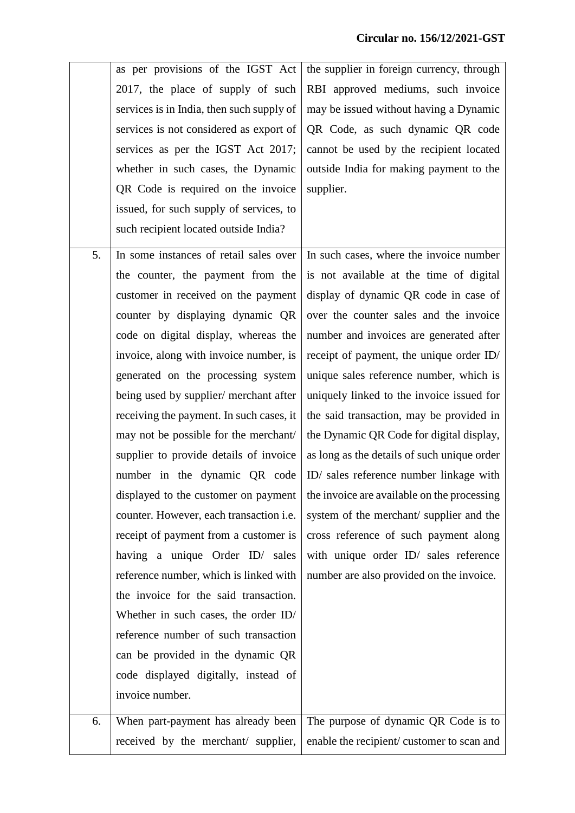|    | as per provisions of the IGST Act         | the supplier in foreign currency, through   |
|----|-------------------------------------------|---------------------------------------------|
|    | 2017, the place of supply of such         | RBI approved mediums, such invoice          |
|    | services is in India, then such supply of | may be issued without having a Dynamic      |
|    | services is not considered as export of   | QR Code, as such dynamic QR code            |
|    | services as per the IGST Act 2017;        | cannot be used by the recipient located     |
|    | whether in such cases, the Dynamic        | outside India for making payment to the     |
|    | QR Code is required on the invoice        | supplier.                                   |
|    | issued, for such supply of services, to   |                                             |
|    | such recipient located outside India?     |                                             |
| 5. | In some instances of retail sales over    | In such cases, where the invoice number     |
|    | the counter, the payment from the         | is not available at the time of digital     |
|    | customer in received on the payment       | display of dynamic QR code in case of       |
|    | counter by displaying dynamic QR          | over the counter sales and the invoice      |
|    | code on digital display, whereas the      | number and invoices are generated after     |
|    | invoice, along with invoice number, is    | receipt of payment, the unique order ID/    |
|    | generated on the processing system        | unique sales reference number, which is     |
|    | being used by supplier/ merchant after    | uniquely linked to the invoice issued for   |
|    | receiving the payment. In such cases, it  | the said transaction, may be provided in    |
|    | may not be possible for the merchant/     | the Dynamic QR Code for digital display,    |
|    | supplier to provide details of invoice    | as long as the details of such unique order |
|    | number in the dynamic QR code             | ID/ sales reference number linkage with     |
|    | displayed to the customer on payment      | the invoice are available on the processing |
|    | counter. However, each transaction i.e.   | system of the merchant/supplier and the     |
|    | receipt of payment from a customer is     | cross reference of such payment along       |
|    | having a unique Order ID/ sales           | with unique order ID/ sales reference       |
|    | reference number, which is linked with    | number are also provided on the invoice.    |
|    | the invoice for the said transaction.     |                                             |
|    | Whether in such cases, the order ID/      |                                             |
|    | reference number of such transaction      |                                             |
|    | can be provided in the dynamic QR         |                                             |
|    | code displayed digitally, instead of      |                                             |
|    | invoice number.                           |                                             |
| 6. | When part-payment has already been        | The purpose of dynamic QR Code is to        |
|    | received by the merchant/ supplier,       | enable the recipient/customer to scan and   |
|    |                                           |                                             |